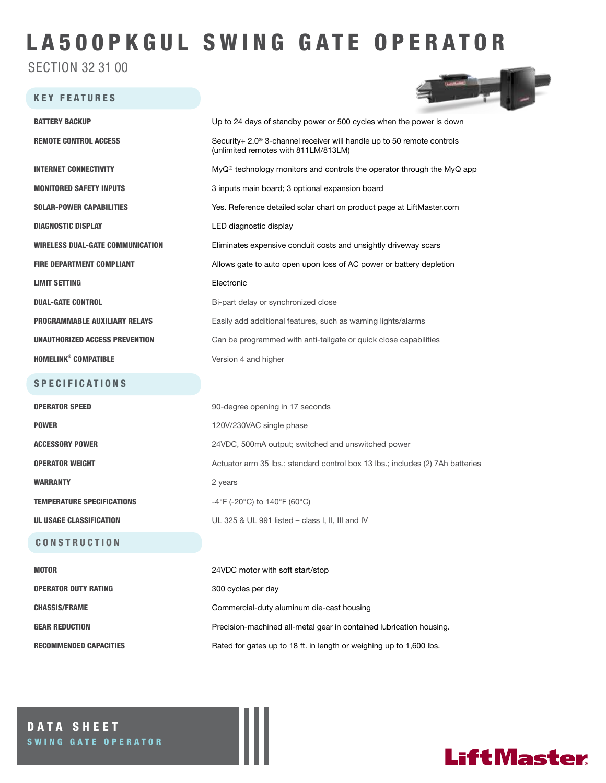# LA500PKGUL SWING GATE OPERATOR

SECTION 32 31 00

#### KEY FEATURES



| <b>BATTERY BACKUP</b>                   | Up to 24 days of standby power or 500 cycles when the power is down                                                        |  |
|-----------------------------------------|----------------------------------------------------------------------------------------------------------------------------|--|
| <b>REMOTE CONTROL ACCESS</b>            | Security+ 2.0 <sup>®</sup> 3-channel receiver will handle up to 50 remote controls<br>(unlimited remotes with 811LM/813LM) |  |
| <b>INTERNET CONNECTIVITY</b>            | $MyQ^{\circ}$ technology monitors and controls the operator through the MyQ app                                            |  |
| <b>MONITORED SAFETY INPUTS</b>          | 3 inputs main board; 3 optional expansion board                                                                            |  |
| <b>SOLAR-POWER CAPABILITIES</b>         | Yes. Reference detailed solar chart on product page at LiftMaster.com                                                      |  |
| <b>DIAGNOSTIC DISPLAY</b>               | LED diagnostic display                                                                                                     |  |
| <b>WIRELESS DUAL-GATE COMMUNICATION</b> | Eliminates expensive conduit costs and unsightly driveway scars                                                            |  |
| <b>FIRE DEPARTMENT COMPLIANT</b>        | Allows gate to auto open upon loss of AC power or battery depletion                                                        |  |
| <b>LIMIT SETTING</b>                    | Electronic                                                                                                                 |  |
| <b>DUAL-GATE CONTROL</b>                | Bi-part delay or synchronized close                                                                                        |  |
| <b>PROGRAMMABLE AUXILIARY RELAYS</b>    | Easily add additional features, such as warning lights/alarms                                                              |  |
| UNAUTHORIZED ACCESS PREVENTION          | Can be programmed with anti-tailgate or quick close capabilities                                                           |  |
| <b>HOMELINK<sup>®</sup> COMPATIBLE</b>  | Version 4 and higher                                                                                                       |  |
| <b>SPECIFICATIONS</b>                   |                                                                                                                            |  |
| <b>OPERATOR SPEED</b>                   | 90-degree opening in 17 seconds                                                                                            |  |
| <b>POWER</b>                            | 120V/230VAC single phase                                                                                                   |  |
| <b>ACCESSORY POWER</b>                  | 24VDC, 500mA output; switched and unswitched power                                                                         |  |
| <b>OPERATOR WEIGHT</b>                  | Actuator arm 35 lbs.; standard control box 13 lbs.; includes (2) 7Ah batteries                                             |  |
| <b>WARRANTY</b>                         | 2 years                                                                                                                    |  |
| <b>TEMPERATURE SPECIFICATIONS</b>       | $-4^{\circ}$ F (-20 $^{\circ}$ C) to 140 $^{\circ}$ F (60 $^{\circ}$ C)                                                    |  |
| UL USAGE CLASSIFICATION                 | UL 325 & UL 991 listed – class I, II, III and IV                                                                           |  |
| <b>CONSTRUCTION</b>                     |                                                                                                                            |  |
| <b>MOTOR</b>                            | 24VDC motor with soft start/stop                                                                                           |  |
| <b>OPERATOR DUTY RATING</b>             | 300 cycles per day                                                                                                         |  |
| <b>CHASSIS/FRAME</b>                    | Commercial-duty aluminum die-cast housing                                                                                  |  |
| <b>GEAR REDUCTION</b>                   | Precision-machined all-metal gear in contained lubrication housing.                                                        |  |

RECOMMENDED CAPACITIES Rated for gates up to 18 ft. in length or weighing up to 1,600 lbs.

DATA SHEET SWING GATE OPERATOR

## **LiftMaster**